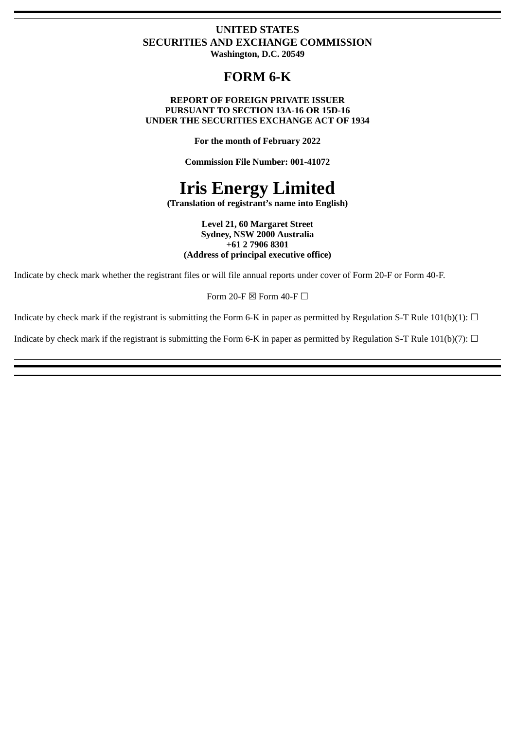#### **UNITED STATES SECURITIES AND EXCHANGE COMMISSION Washington, D.C. 20549**

### **FORM 6-K**

#### **REPORT OF FOREIGN PRIVATE ISSUER PURSUANT TO SECTION 13A-16 OR 15D-16 UNDER THE SECURITIES EXCHANGE ACT OF 1934**

**For the month of February 2022**

**Commission File Number: 001-41072**

# **Iris Energy Limited**

**(Translation of registrant's name into English)**

**Level 21, 60 Margaret Street Sydney, NSW 2000 Australia +61 2 7906 8301 (Address of principal executive office)**

Indicate by check mark whether the registrant files or will file annual reports under cover of Form 20-F or Form 40-F.

Form 20-F  $\boxtimes$  Form 40-F  $\Box$ 

Indicate by check mark if the registrant is submitting the Form 6-K in paper as permitted by Regulation S-T Rule 101(b)(1):  $\Box$ 

Indicate by check mark if the registrant is submitting the Form 6-K in paper as permitted by Regulation S-T Rule 101(b)(7):  $\Box$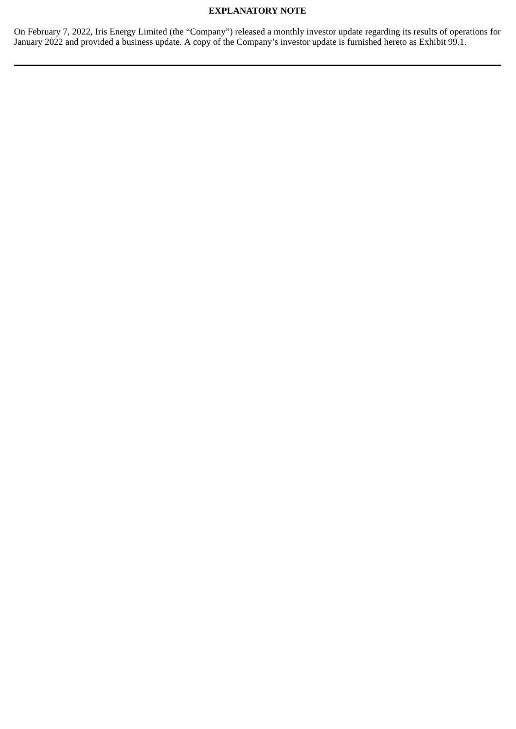#### **EXPLANATORY NOTE**

On February 7, 2022, Iris Energy Limited (the "Company") released a monthly investor update regarding its results of operations for January 2022 and provided a business update. A copy of the Company's investor update is furnished hereto as Exhibit 99.1.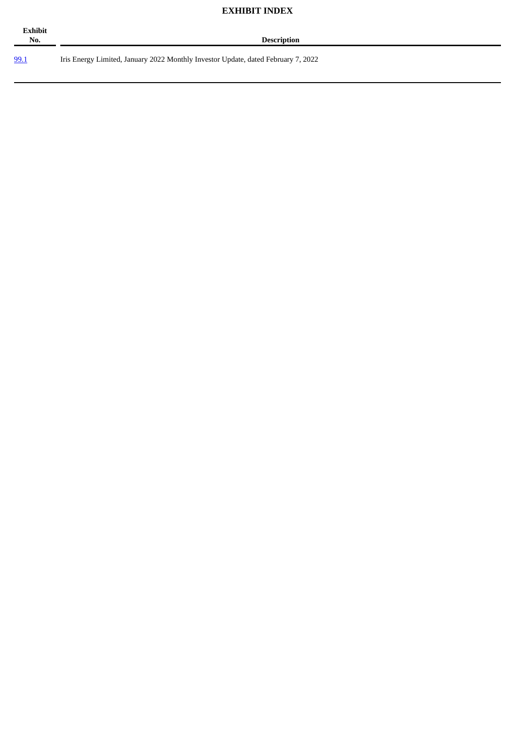#### **EXHIBIT INDEX**

| Exhibit<br>No. | <b>Description</b>                                                                |  |  |  |
|----------------|-----------------------------------------------------------------------------------|--|--|--|
| 99.1           | Iris Energy Limited, January 2022 Monthly Investor Update, dated February 7, 2022 |  |  |  |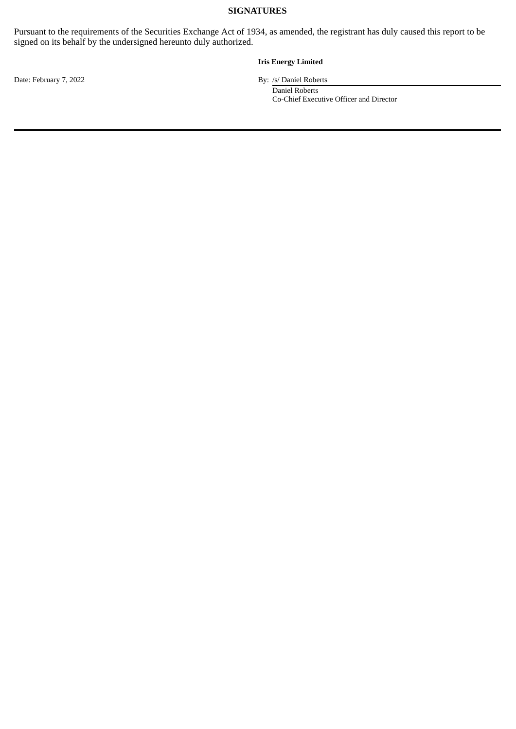#### **SIGNATURES**

Pursuant to the requirements of the Securities Exchange Act of 1934, as amended, the registrant has duly caused this report to be signed on its behalf by the undersigned hereunto duly authorized.

#### **Iris Energy Limited**

Daniel Roberts Co-Chief Executive Officer and Director

Date: February 7, 2022 By: /s/ Daniel Roberts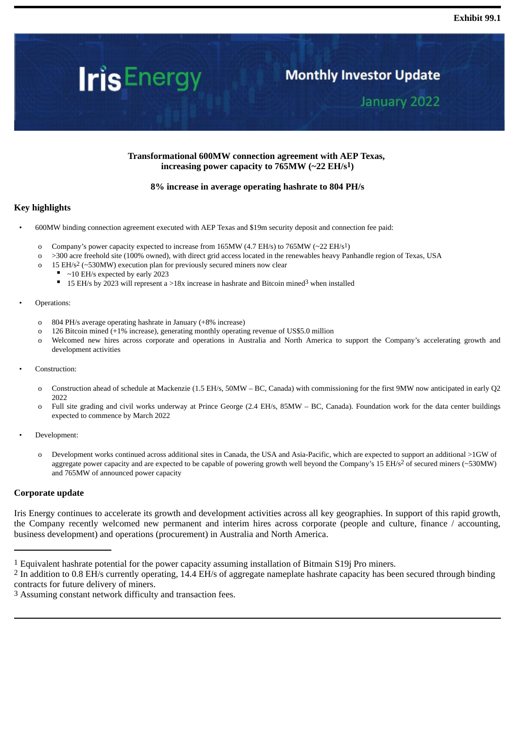# <span id="page-4-0"></span>**IrisEnergy**

## **Monthly Investor Update**

January 2022

#### **Transformational 600MW connection agreement with AEP Texas, increasing power capacity to 765MW (~22 EH/s1)**

#### **8% increase in average operating hashrate to 804 PH/s**

#### **Key highlights**

- 600MW binding connection agreement executed with AEP Texas and \$19m security deposit and connection fee paid:
	- o Company's power capacity expected to increase from 165MW (4.7 EH/s) to 765MW ( $\sim$ 22 EH/s<sup>1</sup>)
	- o >300 acre freehold site (100% owned), with direct grid access located in the renewables heavy Panhandle region of Texas, USA
	- o 15 EH/s2 (~530MW) execution plan for previously secured miners now clear
		- $\blacksquare$  ~10 EH/s expected by early 2023
		- 15 EH/s by 2023 will represent a >18x increase in hashrate and Bitcoin mined<sup>3</sup> when installed
- Operations:
	- o 804 PH/s average operating hashrate in January (+8% increase)
	- o 126 Bitcoin mined (+1% increase), generating monthly operating revenue of US\$5.0 million
	- o Welcomed new hires across corporate and operations in Australia and North America to support the Company's accelerating growth and development activities
- Construction:
	- o Construction ahead of schedule at Mackenzie (1.5 EH/s, 50MW BC, Canada) with commissioning for the first 9MW now anticipated in early Q2 2022
	- o Full site grading and civil works underway at Prince George (2.4 EH/s, 85MW BC, Canada). Foundation work for the data center buildings expected to commence by March 2022
- Development:
	- o Development works continued across additional sites in Canada, the USA and Asia-Pacific, which are expected to support an additional >1GW of aggregate power capacity and are expected to be capable of powering growth well beyond the Company's 15 EH/s<sup>2</sup> of secured miners ( $\sim$ 530MW) and 765MW of announced power capacity

#### **Corporate update**

Iris Energy continues to accelerate its growth and development activities across all key geographies. In support of this rapid growth, the Company recently welcomed new permanent and interim hires across corporate (people and culture, finance / accounting, business development) and operations (procurement) in Australia and North America.

<sup>1</sup> Equivalent hashrate potential for the power capacity assuming installation of Bitmain S19j Pro miners.

<sup>2</sup> In addition to 0.8 EH/s currently operating, 14.4 EH/s of aggregate nameplate hashrate capacity has been secured through binding contracts for future delivery of miners.

<sup>3</sup> Assuming constant network difficulty and transaction fees.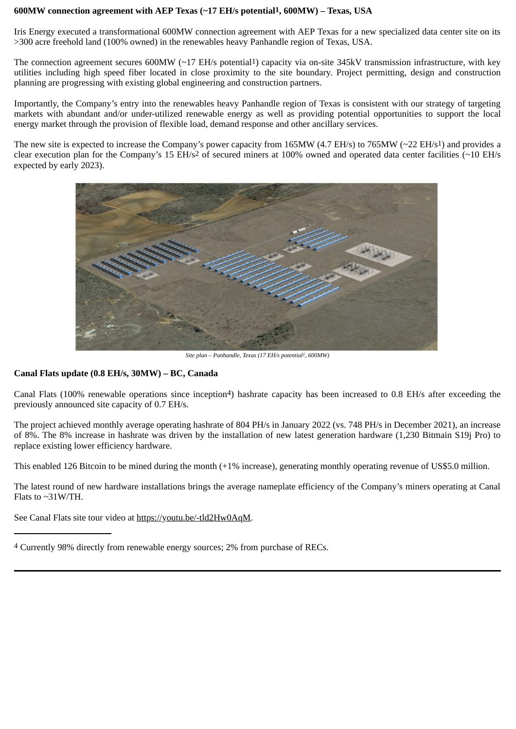#### **600MW connection agreement with AEP Texas (~17 EH/s potential1, 600MW) – Texas, USA**

Iris Energy executed a transformational 600MW connection agreement with AEP Texas for a new specialized data center site on its >300 acre freehold land (100% owned) in the renewables heavy Panhandle region of Texas, USA.

The connection agreement secures 600MW ( $\sim$ 17 EH/s potential<sup>1</sup>) capacity via on-site 345kV transmission infrastructure, with key utilities including high speed fiber located in close proximity to the site boundary. Project permitting, design and construction planning are progressing with existing global engineering and construction partners.

Importantly, the Company's entry into the renewables heavy Panhandle region of Texas is consistent with our strategy of targeting markets with abundant and/or under-utilized renewable energy as well as providing potential opportunities to support the local energy market through the provision of flexible load, demand response and other ancillary services.

The new site is expected to increase the Company's power capacity from 165MW  $(4.7 \text{ EH/s})$  to 765MW  $(\sim 22 \text{ EH/s}^1)$  and provides a clear execution plan for the Company's 15 EH/s<sup>2</sup> of secured miners at 100% owned and operated data center facilities ( $\sim$ 10 EH/s expected by early 2023).



*Site plan – Panhandle, Texas (17 EH/s potential1, 600MW)*

#### **Canal Flats update (0.8 EH/s, 30MW) – BC, Canada**

Canal Flats (100% renewable operations since inception4) hashrate capacity has been increased to 0.8 EH/s after exceeding the previously announced site capacity of 0.7 EH/s.

The project achieved monthly average operating hashrate of 804 PH/s in January 2022 (vs. 748 PH/s in December 2021), an increase of 8%. The 8% increase in hashrate was driven by the installation of new latest generation hardware (1,230 Bitmain S19j Pro) to replace existing lower efficiency hardware.

This enabled 126 Bitcoin to be mined during the month (+1% increase), generating monthly operating revenue of US\$5.0 million.

The latest round of new hardware installations brings the average nameplate efficiency of the Company's miners operating at Canal Flats to ~31W/TH.

See Canal Flats site tour video at https://youtu.be/-tld2Hw0AqM.

<sup>4</sup> Currently 98% directly from renewable energy sources; 2% from purchase of RECs.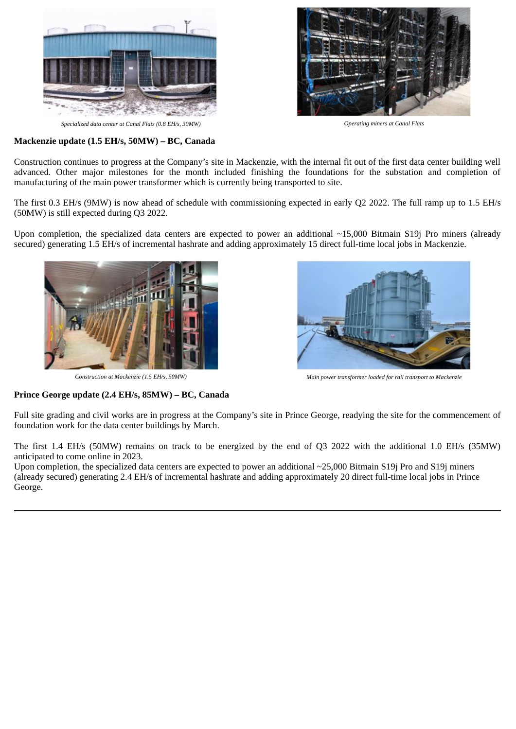

*Specialized data center at Canal Flats (0.8 EH/s, 30MW) Operating miners at Canal Flats*



#### **Mackenzie update (1.5 EH/s, 50MW) – BC, Canada**

Construction continues to progress at the Company's site in Mackenzie, with the internal fit out of the first data center building well advanced. Other major milestones for the month included finishing the foundations for the substation and completion of manufacturing of the main power transformer which is currently being transported to site.

The first 0.3 EH/s (9MW) is now ahead of schedule with commissioning expected in early Q2 2022. The full ramp up to 1.5 EH/s (50MW) is still expected during Q3 2022.

Upon completion, the specialized data centers are expected to power an additional ~15,000 Bitmain S19j Pro miners (already secured) generating 1.5 EH/s of incremental hashrate and adding approximately 15 direct full-time local jobs in Mackenzie.





*Construction at Mackenzie (1.5 EH/s, 50MW) Main power transformer loaded for rail transport to Mackenzie*

#### **Prince George update (2.4 EH/s, 85MW) – BC, Canada**

Full site grading and civil works are in progress at the Company's site in Prince George, readying the site for the commencement of foundation work for the data center buildings by March.

The first 1.4 EH/s (50MW) remains on track to be energized by the end of Q3 2022 with the additional 1.0 EH/s (35MW) anticipated to come online in 2023.

Upon completion, the specialized data centers are expected to power an additional  $\sim$ 25,000 Bitmain S19j Pro and S19j miners (already secured) generating 2.4 EH/s of incremental hashrate and adding approximately 20 direct full-time local jobs in Prince George.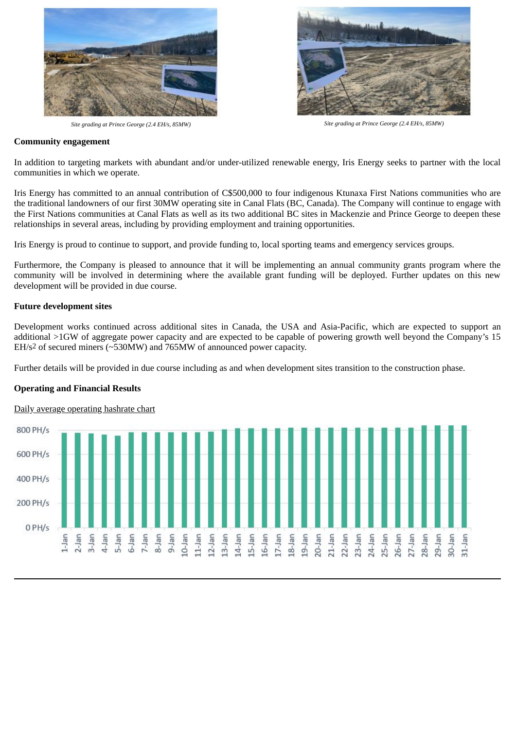



*Site grading at Prince George (2.4 EH/s, 85MW) Site grading at Prince George (2.4 EH/s, 85MW)*

#### **Community engagement**

In addition to targeting markets with abundant and/or under-utilized renewable energy, Iris Energy seeks to partner with the local communities in which we operate.

Iris Energy has committed to an annual contribution of C\$500,000 to four indigenous Ktunaxa First Nations communities who are the traditional landowners of our first 30MW operating site in Canal Flats (BC, Canada). The Company will continue to engage with the First Nations communities at Canal Flats as well as its two additional BC sites in Mackenzie and Prince George to deepen these relationships in several areas, including by providing employment and training opportunities.

Iris Energy is proud to continue to support, and provide funding to, local sporting teams and emergency services groups.

Furthermore, the Company is pleased to announce that it will be implementing an annual community grants program where the community will be involved in determining where the available grant funding will be deployed. Further updates on this new development will be provided in due course.

#### **Future development sites**

Development works continued across additional sites in Canada, the USA and Asia-Pacific, which are expected to support an additional >1GW of aggregate power capacity and are expected to be capable of powering growth well beyond the Company's 15 EH/s2 of secured miners (~530MW) and 765MW of announced power capacity.

Further details will be provided in due course including as and when development sites transition to the construction phase.

#### **Operating and Financial Results**

#### Daily average operating hashrate chart

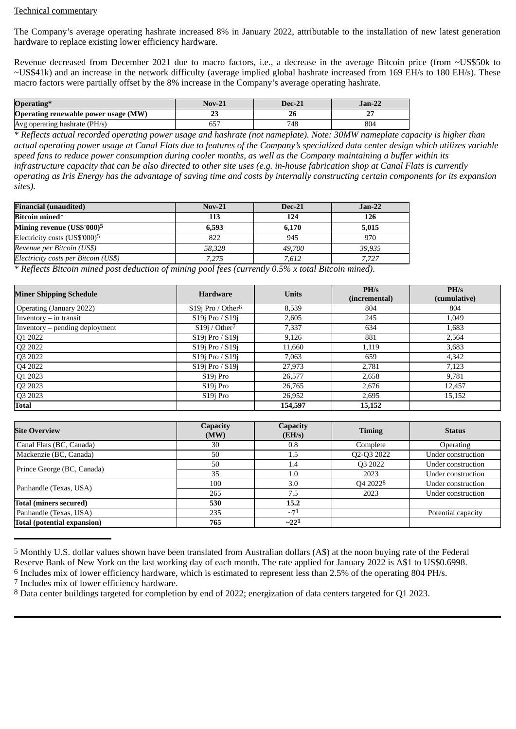#### Technical commentary

The Company's average operating hashrate increased 8% in January 2022, attributable to the installation of new latest generation hardware to replace existing lower efficiency hardware.

Revenue decreased from December 2021 due to macro factors, i.e., a decrease in the average Bitcoin price (from ~US\$50k to  $\sim$ US\$41k) and an increase in the network difficulty (average implied global hashrate increased from 169 EH/s to 180 EH/s). These macro factors were partially offset by the 8% increase in the Company's average operating hashrate.

| Operating*                           | $Nov-21$ | Dec-21 | Jan-22 |  |
|--------------------------------------|----------|--------|--------|--|
| Operating renewable power usage (MW) |          | ۷J     |        |  |
| Avg operating hashrate (PH/s)        | . כס     | 748    | 804    |  |

*\* Reflects actual recorded operating power usage and hashrate (not nameplate). Note: 30MW nameplate capacity is higher than actual operating power usage at Canal Flats due to features of the Company's specialized data center design which utilizes variable speed fans to reduce power consumption during cooler months, as well as the Company maintaining a buffer within its infrastructure capacity that can be also directed to other site uses (e.g. in-house fabrication shop at Canal Flats is currently operating as Iris Energy has the advantage of saving time and costs by internally constructing certain components for its expansion sites).*

| <b>Financial (unaudited)</b>              | $Nov-21$ | $Dec-21$ | $Jan-22$ |
|-------------------------------------------|----------|----------|----------|
| Bitcoin mined*                            | 113      | 124      | 126      |
| Mining revenue (US\$'000) <sup>5</sup>    | 6,593    | 6,170    | 5,015    |
| Electricity costs (US\$'000) <sup>5</sup> | 822      | 945      | 970      |
| Revenue per Bitcoin (US\$)                | 58,328   | 49,700   | 39.935   |
| Electricity costs per Bitcoin (US\$)      | 7,275    | 7,612    | 7.727    |

*\* Reflects Bitcoin mined post deduction of mining pool fees (currently 0.5% x total Bitcoin mined).*

| <b>Miner Shipping Schedule</b> | Hardware                                   | <b>Units</b> | PH/s<br>(incremental) | PH/s<br>(cumulative) |
|--------------------------------|--------------------------------------------|--------------|-----------------------|----------------------|
| Operating (January 2022)       | S <sub>19</sub> j Pro / Other <sup>6</sup> | 8,539        | 804                   | 804                  |
| Inventory $-$ in transit       | S19j Pro / S19j                            | 2,605        | 245                   | 1,049                |
| Inventory – pending deployment | S19j / Other7                              | 7,337        | 634                   | 1,683                |
| Q1 2022                        | S <sub>19</sub> Pro / S <sub>19</sub> i    | 9,126        | 881                   | 2,564                |
| Q2 2022                        | S <sub>19</sub> Pro / S <sub>19</sub> i    | 11,660       | 1,119                 | 3,683                |
| Q3 2022                        | S19j Pro / S19j                            | 7,063        | 659                   | 4,342                |
| Q4 2022                        | S <sub>19</sub> Pro / S <sub>19</sub> i    | 27,973       | 2,781                 | 7,123                |
| Q1 2023                        | S <sub>19</sub> Pro                        | 26,577       | 2,658                 | 9,781                |
| Q2 2023                        | S <sub>19</sub> Pro                        | 26,765       | 2,676                 | 12,457               |
| Q3 2023                        | S <sub>19</sub> j Pro                      | 26,952       | 2,695                 | 15,152               |
| <b>Total</b>                   |                                            | 154,597      | 15,152                |                      |

| <b>Site Overview</b>               | <b>Capacity</b><br>(MW) | <b>Capacity</b><br>(EH/s) | <b>Timing</b> | <b>Status</b>      |
|------------------------------------|-------------------------|---------------------------|---------------|--------------------|
| Canal Flats (BC, Canada)           | 30                      | 0.8                       | Complete      | <b>Operating</b>   |
| Mackenzie (BC, Canada)             | 50                      | 1.5                       | Q2-Q3 2022    | Under construction |
| Prince George (BC, Canada)         | 50                      | 1.4                       | Q3 2022       | Under construction |
|                                    | 35                      | 1.0                       | 2023          | Under construction |
| Panhandle (Texas, USA)             | 100                     | 3.0                       | Q4 20228      | Under construction |
|                                    | 265                     | 7.5                       | 2023          | Under construction |
| <b>Total (miners secured)</b>      | 530                     | 15.2                      |               |                    |
| Panhandle (Texas, USA)             | 235                     | $\sim$ 71                 |               | Potential capacity |
| <b>Total (potential expansion)</b> | 765                     | $\sim$ 221                |               |                    |

<sup>5</sup> Monthly U.S. dollar values shown have been translated from Australian dollars (A\$) at the noon buying rate of the Federal Reserve Bank of New York on the last working day of each month. The rate applied for January 2022 is A\$1 to US\$0.6998. 6 Includes mix of lower efficiency hardware, which is estimated to represent less than 2.5% of the operating 804 PH/s.

7 Includes mix of lower efficiency hardware.

8 Data center buildings targeted for completion by end of 2022; energization of data centers targeted for Q1 2023.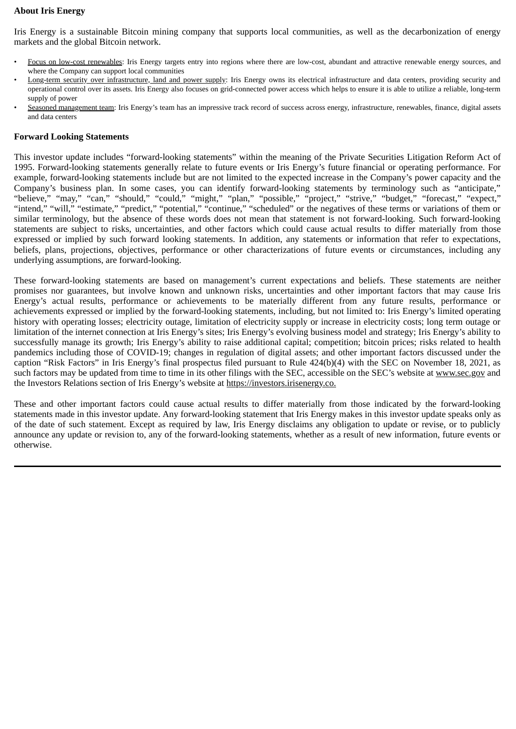#### **About Iris Energy**

Iris Energy is a sustainable Bitcoin mining company that supports local communities, as well as the decarbonization of energy markets and the global Bitcoin network.

- Focus on low-cost renewables: Iris Energy targets entry into regions where there are low-cost, abundant and attractive renewable energy sources, and where the Company can support local communities
- Long-term security over infrastructure, land and power supply: Iris Energy owns its electrical infrastructure and data centers, providing security and operational control over its assets. Iris Energy also focuses on grid-connected power access which helps to ensure it is able to utilize a reliable, long-term supply of power
- Seasoned management team: Iris Energy's team has an impressive track record of success across energy, infrastructure, renewables, finance, digital assets and data centers

#### **Forward Looking Statements**

This investor update includes "forward-looking statements" within the meaning of the Private Securities Litigation Reform Act of 1995. Forward-looking statements generally relate to future events or Iris Energy's future financial or operating performance. For example, forward-looking statements include but are not limited to the expected increase in the Company's power capacity and the Company's business plan. In some cases, you can identify forward-looking statements by terminology such as "anticipate," "believe," "may," "can," "should," "could," "might," "plan," "possible," "project," "strive," "budget," "forecast," "expect," "intend," "will," "estimate," "predict," "potential," "continue," "scheduled" or the negatives of these terms or variations of them or similar terminology, but the absence of these words does not mean that statement is not forward-looking. Such forward-looking statements are subject to risks, uncertainties, and other factors which could cause actual results to differ materially from those expressed or implied by such forward looking statements. In addition, any statements or information that refer to expectations, beliefs, plans, projections, objectives, performance or other characterizations of future events or circumstances, including any underlying assumptions, are forward-looking.

These forward-looking statements are based on management's current expectations and beliefs. These statements are neither promises nor guarantees, but involve known and unknown risks, uncertainties and other important factors that may cause Iris Energy's actual results, performance or achievements to be materially different from any future results, performance or achievements expressed or implied by the forward-looking statements, including, but not limited to: Iris Energy's limited operating history with operating losses; electricity outage, limitation of electricity supply or increase in electricity costs; long term outage or limitation of the internet connection at Iris Energy's sites; Iris Energy's evolving business model and strategy; Iris Energy's ability to successfully manage its growth; Iris Energy's ability to raise additional capital; competition; bitcoin prices; risks related to health pandemics including those of COVID-19; changes in regulation of digital assets; and other important factors discussed under the caption "Risk Factors" in Iris Energy's final prospectus filed pursuant to Rule 424(b)(4) with the SEC on November 18, 2021, as such factors may be updated from time to time in its other filings with the SEC, accessible on the SEC's website at www.sec.gov and the Investors Relations section of Iris Energy's website at https://investors.irisenergy.co.

These and other important factors could cause actual results to differ materially from those indicated by the forward-looking statements made in this investor update. Any forward-looking statement that Iris Energy makes in this investor update speaks only as of the date of such statement. Except as required by law, Iris Energy disclaims any obligation to update or revise, or to publicly announce any update or revision to, any of the forward-looking statements, whether as a result of new information, future events or otherwise.